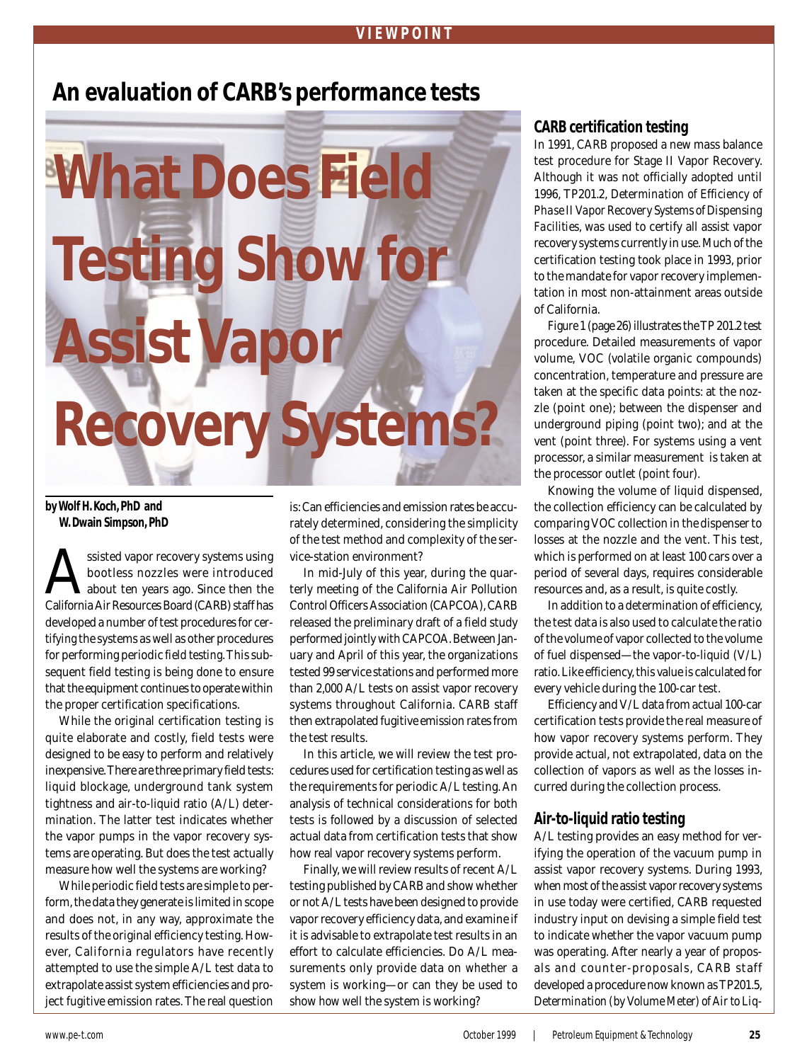# **An evaluation of CARB's performance tests**



**by Wolf H. Koch, PhD and W. Dwain Simpson, PhD**

ssisted vapor recovery systems using<br>bootless nozzles were introduced<br>california Air Resources Board (CARR) staff has bootless nozzles were introduced about ten years ago. Since then the California Air Resources Board (CARB) staff has developed a number of test procedures for *certifying* the systems as well as other procedures for performing periodic *field testing*. This subsequent field testing is being done to ensure that the equipment continues to operate within the proper certification specifications.

While the original certification testing is quite elaborate and costly, field tests were designed to be easy to perform and relatively inexpensive. There are three primary field tests: liquid blockage, underground tank system tightness and air-to-liquid ratio (A/L) determination. The latter test indicates whether the vapor pumps in the vapor recovery systems are operating. But does the test actually measure how well the systems are working?

While periodic field tests are simple to perform, the data they generate is limited in scope and does not, in any way, approximate the results of the original efficiency testing. However, California regulators have recently attempted to use the simple A/L test data to extrapolate assist system efficiencies and project fugitive emission rates. The real question

is: Can efficiencies and emission rates be accurately determined, considering the simplicity of the test method and complexity of the service-station environment?

In mid-July of this year, during the quarterly meeting of the California Air Pollution Control Officers Association (CAPCOA), CARB released the preliminary draft of a field study performed jointly with CAPCOA. Between January and April of this year, the organizations tested 99 service stations and performed more than 2,000 A/L tests on assist vapor recovery systems throughout California. CARB staff then extrapolated fugitive emission rates from the test results.

In this article, we will review the test procedures used for certification testing as well as the requirements for periodic A/L testing. An analysis of technical considerations for both tests is followed by a discussion of selected actual data from certification tests that show how real vapor recovery systems perform.

Finally, we will review results of recent A/L testing published by CARB and show whether or not A/L tests have been designed to provide vapor recovery efficiency data, and examine if it is advisable to extrapolate test results in an effort to calculate efficiencies. Do A/L measurements only provide data on *whether* a system is working—or can they be used to show *how well* the system is working?

#### **CARB certification testing**

In 1991, CARB proposed a new mass balance test procedure for Stage II Vapor Recovery. Although it was not officially adopted until 1996, TP201.2, *Determination of Efficiency of Phase II Vapor Recovery Systems of Dispensing Facilities,* was used to certify all assist vapor recovery systems currently in use. Much of the certification testing took place in 1993, prior to the mandate for vapor recovery implementation in most non-attainment areas outside of California.

*Figure 1* (page 26) illustrates the TP 201.2 test procedure. Detailed measurements of vapor volume, VOC (volatile organic compounds) concentration, temperature and pressure are taken at the specific data points: at the nozzle (point one); between the dispenser and underground piping (point two); and at the vent (point three). For systems using a vent processor, a similar measurement is taken at the processor outlet (point four).

Knowing the volume of liquid dispensed, the collection efficiency can be calculated by comparing VOC collection in the dispenser to losses at the nozzle and the vent. This test, which is performed on at least 100 cars over a period of several days, requires considerable resources and, as a result, is quite costly.

In addition to a determination of efficiency, the test data is also used to calculate the ratio of the volume of vapor collected to the volume of fuel dispensed—the vapor-to-liquid (V/L) ratio. Like efficiency, this value is calculated for every vehicle during the 100-car test.

Efficiency and V/L data from actual 100-car certification tests provide the real measure of how vapor recovery systems perform. They provide actual, not extrapolated, data on the collection of vapors as well as the losses incurred during the collection process.

#### **Air-to-liquid ratio testing**

A/L testing provides an easy method for verifying the operation of the vacuum pump in assist vapor recovery systems. During 1993, when most of the assist vapor recovery systems in use today were certified, CARB requested industry input on devising a simple field test to indicate whether the vapor vacuum pump was operating. After nearly a year of proposals and counter-proposals, CARB staff developed a procedure now known as TP201.5, *Determination (by Volume Meter) of Air to Liq-*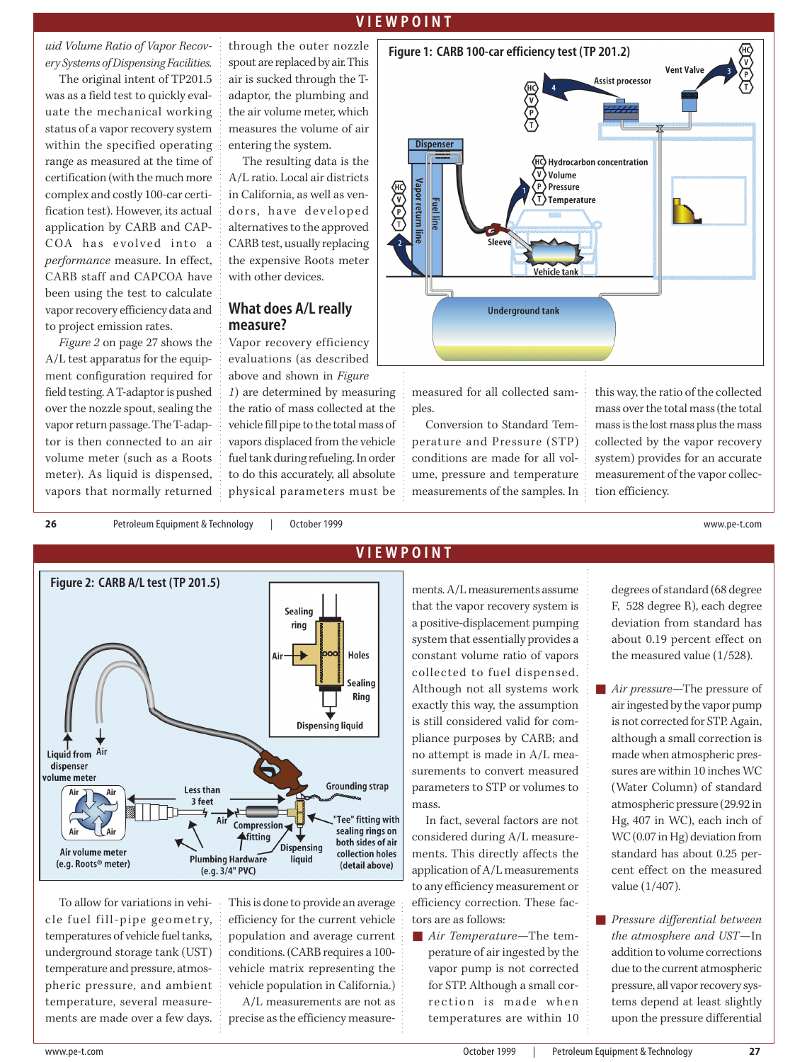*uid Volume Ratio of Vapor Recovery Systems of Dispensing Facilities.* 

The original intent of TP201.5 was as a field test to quickly evaluate the mechanical working status of a vapor recovery system within the specified operating range as measured at the time of certification (with the much more complex and costly 100-car certification test). However, its actual application by CARB and CAP-COA has evolved into a *performance* measure. In effect, CARB staff and CAPCOA have been using the test to calculate vapor recovery efficiency data and to project emission rates.

*Figure 2* on page 27 shows the A/L test apparatus for the equipment configuration required for field testing. A T-adaptor is pushed over the nozzle spout, sealing the vapor return passage. The T-adaptor is then connected to an air volume meter (such as a Roots meter). As liquid is dispensed, vapors that normally returned through the outer nozzle spout are replaced by air. This air is sucked through the Tadaptor, the plumbing and the air volume meter, which measures the volume of air entering the system.

The resulting data is the A/L ratio. Local air districts in California, as well as vendors, have developed alternatives to the approved CARB test, usually replacing the expensive Roots meter with other devices.

#### **What does A/L really measure?**

Vapor recovery efficiency evaluations (as described above and shown in *Figure*

*1*) are determined by measuring the ratio of mass collected at the vehicle fill pipe to the total mass of vapors displaced from the vehicle fuel tank during refueling. In order to do this accurately, all absolute physical parameters must be



measured for all collected samples.

Conversion to Standard Temperature and Pressure (STP) conditions are made for all volume, pressure and temperature measurements of the samples. In this way, the ratio of the collected mass over the total mass (the total mass is the lost mass plus the mass collected by the vapor recovery system) provides for an accurate measurement of the vapor collection efficiency.

**26** Petroleum Equipment & Technology | October 1999 www.pe-t.com



To allow for variations in vehicle fuel fill-pipe geometry, temperatures of vehicle fuel tanks, underground storage tank (UST) temperature and pressure, atmospheric pressure, and ambient temperature, several measurements are made over a few days.

This is done to provide an average efficiency for the current vehicle population and average current conditions. (CARB requires a 100 vehicle matrix representing the vehicle population in California.) A/L measurements are not as precise as the efficiency measure-

### **VIEWPOINT**

ments. A/L measurements assume that the vapor recovery system is a positive-displacement pumping system that essentially provides a constant volume ratio of vapors collected to fuel dispensed. Although not all systems work exactly this way, the assumption is still considered valid for compliance purposes by CARB; and no attempt is made in A/L measurements to convert measured parameters to STP or volumes to mass.

In fact, several factors are not considered during A/L measurements. This directly affects the application of A/L measurements to any efficiency measurement or efficiency correction. These factors are as follows:

■ *Air Temperature*—The temperature of air ingested by the vapor pump is not corrected for STP. Although a small correction is made when temperatures are within 10 degrees of standard (68 degree F, 528 degree R), each degree deviation from standard has about 0.19 percent effect on the measured value (1/528).

- *Air pressure*—The pressure of air ingested by the vapor pump is not corrected for STP. Again, although a small correction is made when atmospheric pressures are within 10 inches WC (Water Column) of standard atmospheric pressure (29.92 in Hg, 407 in WC), each inch of WC (0.07 in Hg) deviation from standard has about 0.25 percent effect on the measured value (1/407).
- *Pressure differential between the atmosphere and UST*—In addition to volume corrections due to the current atmospheric pressure, all vapor recovery systems depend at least slightly upon the pressure differential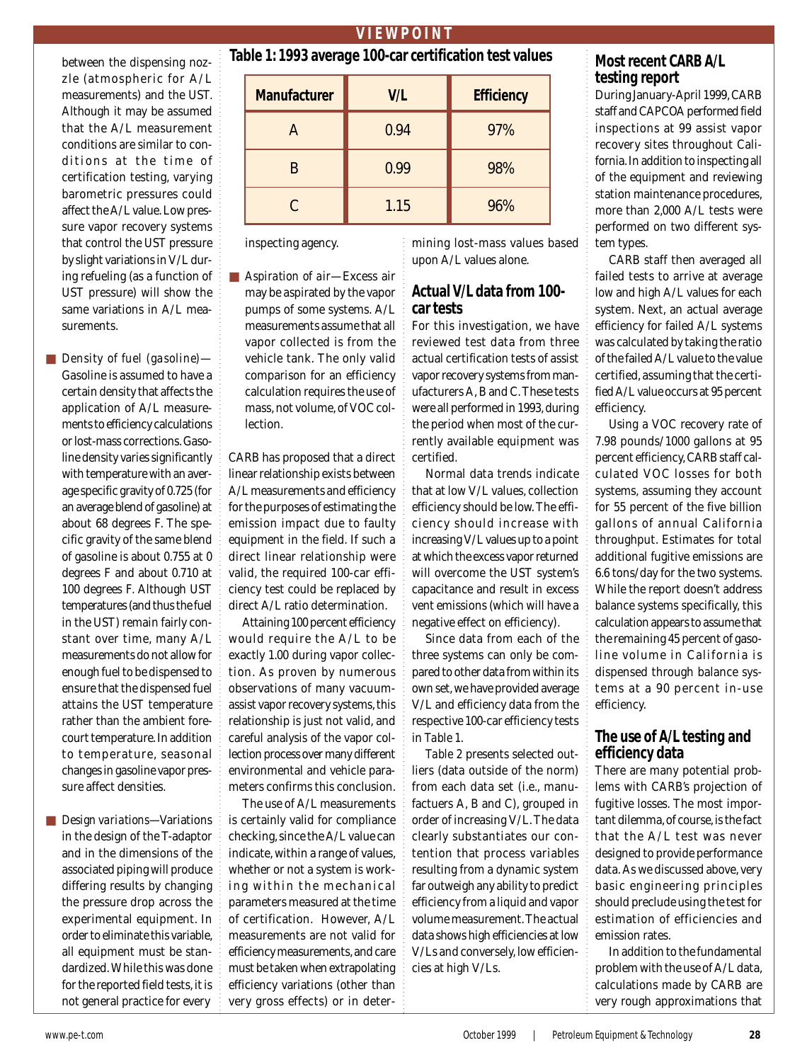#### between the dispensing nozzle (atmospheric for A/L measurements) and the UST. Although it may be assumed that the A/L measurement conditions are similar to conditions at the time of certification testing, varying barometric pressures could affect the A/L value. Low pressure vapor recovery systems that control the UST pressure by slight variations in V/L during refueling (as a function of UST pressure) will show the same variations in A/L measurements.

- *Density of fuel (gasoline)* Gasoline is assumed to have a certain density that affects the application of A/L measurements to efficiency calculations or lost-mass corrections. Gasoline density varies significantly with temperature with an average specific gravity of 0.725 (for an average blend of gasoline) at about 68 degrees F. The specific gravity of the same blend of gasoline is about 0.755 at 0 degrees F and about 0.710 at 100 degrees F. Although UST temperatures (and thus the fuel in the UST) remain fairly constant over time, many A/L measurements do not allow for enough fuel to be dispensed to ensure that the dispensed fuel attains the UST temperature rather than the ambient forecourt temperature. In addition to temperature, seasonal changes in gasoline vapor pressure affect densities.
- *Design variations*—Variations in the design of the T-adaptor and in the dimensions of the associated piping will produce differing results by changing the pressure drop across the experimental equipment. In order to eliminate this variable, all equipment must be standardized. While this was done for the reported field tests, it is not general practice for every

| Table 1: 1993 average 100-car certification test values |      |                   |  |  |  |
|---------------------------------------------------------|------|-------------------|--|--|--|
| <b>Manufacturer</b>                                     | V/L  | <b>Efficiency</b> |  |  |  |
|                                                         | 0.94 | 97%               |  |  |  |
|                                                         | 0.99 | 98%               |  |  |  |
|                                                         | 1.15 | 96%               |  |  |  |

inspecting agency.

■ *Aspiration of air*—Excess air may be aspirated by the vapor pumps of some systems. A/L measurements assume that all vapor collected is from the vehicle tank. The only valid comparison for an efficiency calculation requires the use of mass, not volume, of VOC collection.

CARB has proposed that a direct linear relationship exists between A/L measurements and efficiency for the purposes of estimating the emission impact due to faulty equipment in the field. If such a direct linear relationship were valid, the required 100-car efficiency test could be replaced by direct A/L ratio determination.

Attaining 100 percent efficiency would require the A/L to be exactly 1.00 during vapor collection. As proven by numerous observations of many vacuumassist vapor recovery systems, this relationship is just not valid, and careful analysis of the vapor collection process over many different environmental and vehicle parameters confirms this conclusion.

The use of A/L measurements is certainly valid for compliance checking, since the A/L value can indicate, within a range of values, whether or not a system is working within the mechanical parameters measured at the time of certification. However, A/L measurements are not valid for efficiency measurements, and care must be taken when extrapolating efficiency variations (other than very gross effects) or in determining lost-mass values based upon A/L values alone.

## **Actual V/L data from 100 car tests**

For this investigation, we have reviewed test data from three actual certification tests of assist vapor recovery systems from manufacturers A, B and C. These tests were all performed in 1993, during the period when most of the currently available equipment was certified.

Normal data trends indicate that at low V/L values, collection efficiency should be low. The efficiency should increase with increasing V/L values up to a point at which the excess vapor returned will overcome the UST system's capacitance and result in excess vent emissions (which will have a negative effect on efficiency).

Since data from each of the three systems can only be compared to other data from within its own set, we have provided average V/L and efficiency data from the respective 100-car efficiency tests in *Table 1*.

*Table 2* presents selected outliers (data outside of the norm) from each data set (i.e., manufactuers A, B and C), grouped in order of increasing V/L. The data clearly substantiates our contention that process variables resulting from a dynamic system far outweigh any ability to predict efficiency from a liquid and vapor volume measurement. The actual data shows high efficiencies at low V/Ls and conversely, low efficiencies at high V/Ls.

# **Most recent CARB A/L testing report**

During January-April 1999, CARB staff and CAPCOA performed field inspections at 99 assist vapor recovery sites throughout California. In addition to inspecting all of the equipment and reviewing station maintenance procedures, more than 2,000 A/L tests were performed on two different system types.

CARB staff then averaged all failed tests to arrive at average low and high A/L values for each system. Next, an actual average efficiency for failed A/L systems was calculated by taking the ratio of the failed A/L value to the value certified, assuming that the certified A/L value occurs at 95 percent efficiency.

Using a VOC recovery rate of 7.98 pounds/1000 gallons at 95 percent efficiency, CARB staff calculated VOC losses for both systems, assuming they account for 55 percent of the five billion gallons of annual California throughput. Estimates for total additional fugitive emissions are 6.6 tons/day for the two systems. While the report doesn't address balance systems specifically, this calculation appears to assume that the remaining 45 percent of gasoline volume in California is dispensed through balance systems at a 90 percent in-use efficiency.

# **The use of A/L testing and efficiency data**

There are many potential problems with CARB's projection of fugitive losses. The most important dilemma, of course, is the fact that the A/L test was never designed to provide performance data. As we discussed above, very basic engineering principles should preclude using the test for estimation of efficiencies and emission rates.

In addition to the fundamental problem with the use of A/L data, calculations made by CARB are very rough approximations that